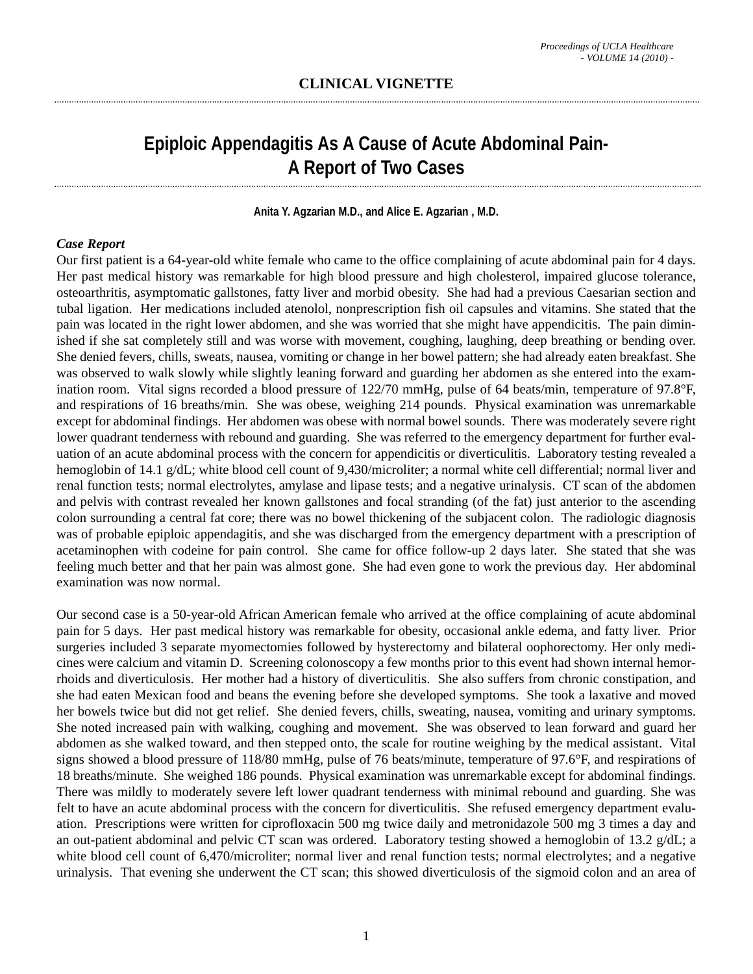# **Epiploic Appendagitis As A Cause of Acute Abdominal Pain-A Report of Two Cases**

#### **Anita Y. Agzarian M.D., and Alice E. Agzarian , M.D.**

#### *Case Report*

Our first patient is a 64-year-old white female who came to the office complaining of acute abdominal pain for 4 days. Her past medical history was remarkable for high blood pressure and high cholesterol, impaired glucose tolerance, osteoarthritis, asymptomatic gallstones, fatty liver and morbid obesity. She had had a previous Caesarian section and tubal ligation. Her medications included atenolol, nonprescription fish oil capsules and vitamins. She stated that the pain was located in the right lower abdomen, and she was worried that she might have appendicitis. The pain diminished if she sat completely still and was worse with movement, coughing, laughing, deep breathing or bending over. She denied fevers, chills, sweats, nausea, vomiting or change in her bowel pattern; she had already eaten breakfast. She was observed to walk slowly while slightly leaning forward and guarding her abdomen as she entered into the examination room. Vital signs recorded a blood pressure of 122/70 mmHg, pulse of 64 beats/min, temperature of 97.8°F, and respirations of 16 breaths/min. She was obese, weighing 214 pounds. Physical examination was unremarkable except for abdominal findings. Her abdomen was obese with normal bowel sounds. There was moderately severe right lower quadrant tenderness with rebound and guarding. She was referred to the emergency department for further evaluation of an acute abdominal process with the concern for appendicitis or diverticulitis. Laboratory testing revealed a hemoglobin of 14.1 g/dL; white blood cell count of 9,430/microliter; a normal white cell differential; normal liver and renal function tests; normal electrolytes, amylase and lipase tests; and a negative urinalysis. CT scan of the abdomen and pelvis with contrast revealed her known gallstones and focal stranding (of the fat) just anterior to the ascending colon surrounding a central fat core; there was no bowel thickening of the subjacent colon. The radiologic diagnosis was of probable epiploic appendagitis, and she was discharged from the emergency department with a prescription of acetaminophen with codeine for pain control. She came for office follow-up 2 days later. She stated that she was feeling much better and that her pain was almost gone. She had even gone to work the previous day. Her abdominal examination was now normal.

Our second case is a 50-year-old African American female who arrived at the office complaining of acute abdominal pain for 5 days. Her past medical history was remarkable for obesity, occasional ankle edema, and fatty liver. Prior surgeries included 3 separate myomectomies followed by hysterectomy and bilateral oophorectomy. Her only medicines were calcium and vitamin D. Screening colonoscopy a few months prior to this event had shown internal hemorrhoids and diverticulosis. Her mother had a history of diverticulitis. She also suffers from chronic constipation, and she had eaten Mexican food and beans the evening before she developed symptoms. She took a laxative and moved her bowels twice but did not get relief. She denied fevers, chills, sweating, nausea, vomiting and urinary symptoms. She noted increased pain with walking, coughing and movement. She was observed to lean forward and guard her abdomen as she walked toward, and then stepped onto, the scale for routine weighing by the medical assistant. Vital signs showed a blood pressure of 118/80 mmHg, pulse of 76 beats/minute, temperature of 97.6°F, and respirations of 18 breaths/minute. She weighed 186 pounds. Physical examination was unremarkable except for abdominal findings. There was mildly to moderately severe left lower quadrant tenderness with minimal rebound and guarding. She was felt to have an acute abdominal process with the concern for diverticulitis. She refused emergency department evaluation. Prescriptions were written for ciprofloxacin 500 mg twice daily and metronidazole 500 mg 3 times a day and an out-patient abdominal and pelvic CT scan was ordered. Laboratory testing showed a hemoglobin of 13.2 g/dL; a white blood cell count of 6,470/microliter; normal liver and renal function tests; normal electrolytes; and a negative urinalysis. That evening she underwent the CT scan; this showed diverticulosis of the sigmoid colon and an area of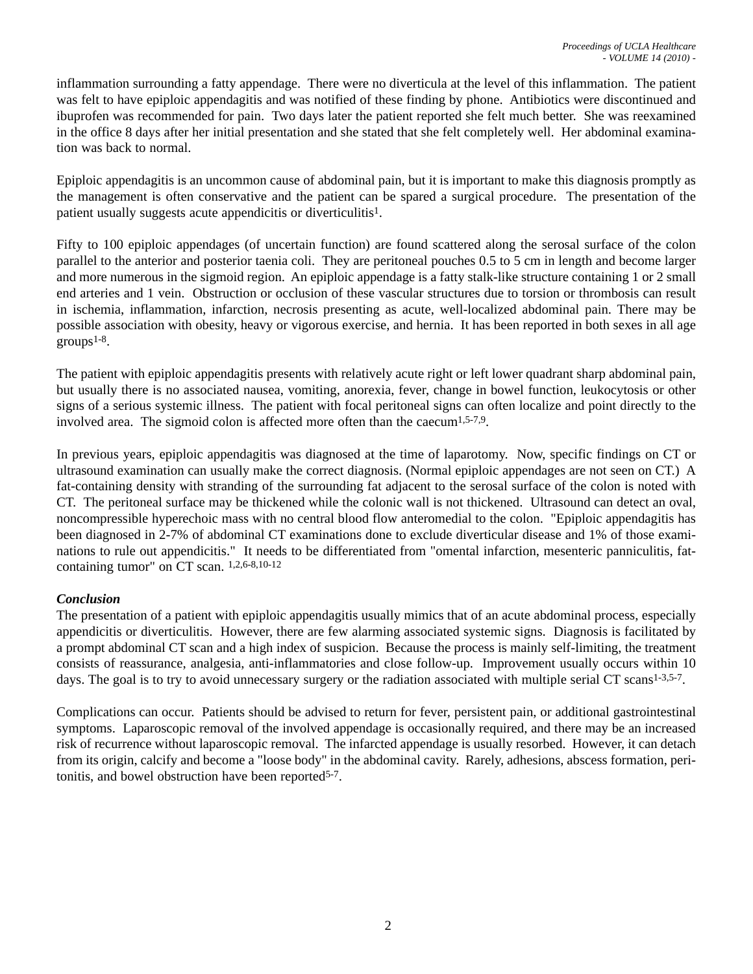inflammation surrounding a fatty appendage. There were no diverticula at the level of this inflammation. The patient was felt to have epiploic appendagitis and was notified of these finding by phone. Antibiotics were discontinued and ibuprofen was recommended for pain. Two days later the patient reported she felt much better. She was reexamined in the office 8 days after her initial presentation and she stated that she felt completely well. Her abdominal examination was back to normal.

Epiploic appendagitis is an uncommon cause of abdominal pain, but it is important to make this diagnosis promptly as the management is often conservative and the patient can be spared a surgical procedure. The presentation of the patient usually suggests acute appendicitis or diverticulitis1.

Fifty to 100 epiploic appendages (of uncertain function) are found scattered along the serosal surface of the colon parallel to the anterior and posterior taenia coli. They are peritoneal pouches 0.5 to 5 cm in length and become larger and more numerous in the sigmoid region. An epiploic appendage is a fatty stalk-like structure containing 1 or 2 small end arteries and 1 vein. Obstruction or occlusion of these vascular structures due to torsion or thrombosis can result in ischemia, inflammation, infarction, necrosis presenting as acute, well-localized abdominal pain. There may be possible association with obesity, heavy or vigorous exercise, and hernia. It has been reported in both sexes in all age  $groups<sup>1-8</sup>$ .

The patient with epiploic appendagitis presents with relatively acute right or left lower quadrant sharp abdominal pain, but usually there is no associated nausea, vomiting, anorexia, fever, change in bowel function, leukocytosis or other signs of a serious systemic illness. The patient with focal peritoneal signs can often localize and point directly to the involved area. The sigmoid colon is affected more often than the caecum<sup>1,5-7,9</sup>.

In previous years, epiploic appendagitis was diagnosed at the time of laparotomy. Now, specific findings on CT or ultrasound examination can usually make the correct diagnosis. (Normal epiploic appendages are not seen on CT.) A fat-containing density with stranding of the surrounding fat adjacent to the serosal surface of the colon is noted with CT. The peritoneal surface may be thickened while the colonic wall is not thickened. Ultrasound can detect an oval, noncompressible hyperechoic mass with no central blood flow anteromedial to the colon. "Epiploic appendagitis has been diagnosed in 2-7% of abdominal CT examinations done to exclude diverticular disease and 1% of those examinations to rule out appendicitis." It needs to be differentiated from "omental infarction, mesenteric panniculitis, fatcontaining tumor" on CT scan. 1,2,6-8,10-12

## *Conclusion*

The presentation of a patient with epiploic appendagitis usually mimics that of an acute abdominal process, especially appendicitis or diverticulitis. However, there are few alarming associated systemic signs. Diagnosis is facilitated by a prompt abdominal CT scan and a high index of suspicion. Because the process is mainly self-limiting, the treatment consists of reassurance, analgesia, anti-inflammatories and close follow-up. Improvement usually occurs within 10 days. The goal is to try to avoid unnecessary surgery or the radiation associated with multiple serial CT scans<sup>1-3,5-7</sup>.

Complications can occur. Patients should be advised to return for fever, persistent pain, or additional gastrointestinal symptoms. Laparoscopic removal of the involved appendage is occasionally required, and there may be an increased risk of recurrence without laparoscopic removal. The infarcted appendage is usually resorbed. However, it can detach from its origin, calcify and become a "loose body" in the abdominal cavity. Rarely, adhesions, abscess formation, peritonitis, and bowel obstruction have been reported5-7.